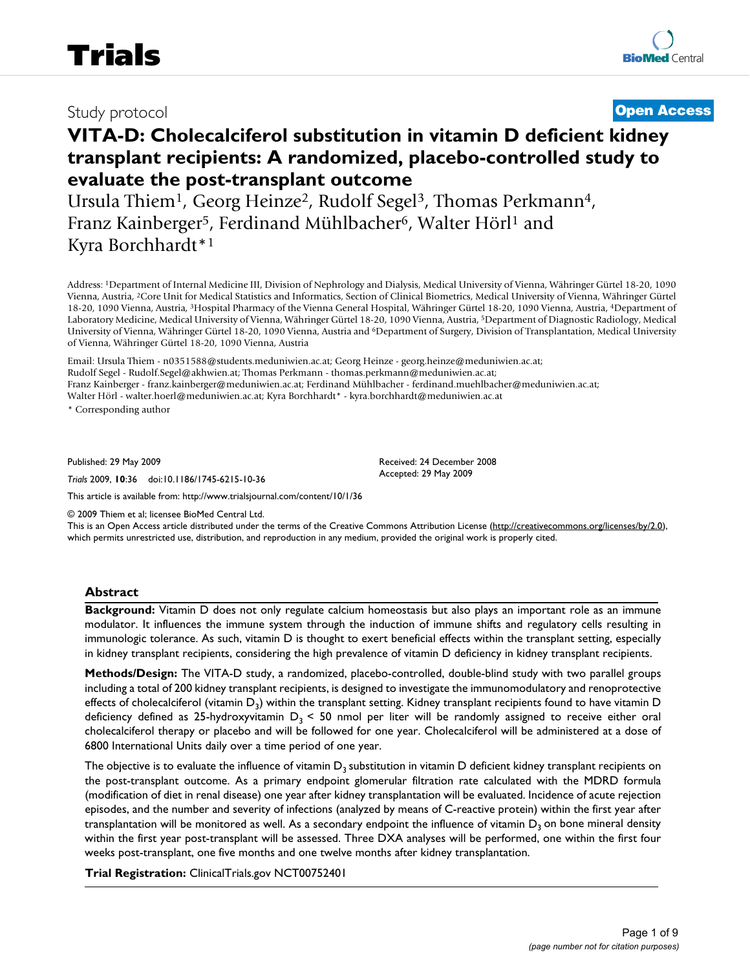# Study protocol **[Open Access](http://www.biomedcentral.com/info/about/charter/)**

# **VITA-D: Cholecalciferol substitution in vitamin D deficient kidney transplant recipients: A randomized, placebo-controlled study to evaluate the post-transplant outcome**

Ursula Thiem<sup>1</sup>, Georg Heinze<sup>2</sup>, Rudolf Segel<sup>3</sup>, Thomas Perkmann<sup>4</sup>, Franz Kainberger<sup>5</sup>, Ferdinand Mühlbacher<sup>6</sup>, Walter Hörl<sup>1</sup> and Kyra Borchhardt\*1

Address: 1Department of Internal Medicine III, Division of Nephrology and Dialysis, Medical University of Vienna, Währinger Gürtel 18-20, 1090 Vienna, Austria, 2Core Unit for Medical Statistics and Informatics, Section of Clinical Biometrics, Medical University of Vienna, Währinger Gürtel 18-20, 1090 Vienna, Austria, 3Hospital Pharmacy of the Vienna General Hospital, Währinger Gürtel 18-20, 1090 Vienna, Austria, 4Department of Laboratory Medicine, Medical University of Vienna, Währinger Gürtel 18-20, 1090 Vienna, Austria, 5Department of Diagnostic Radiology, Medical University of Vienna, Währinger Gürtel 18-20, 1090 Vienna, Austria and 6Department of Surgery, Division of Transplantation, Medical University of Vienna, Währinger Gürtel 18-20, 1090 Vienna, Austria

Email: Ursula Thiem - n0351588@students.meduniwien.ac.at; Georg Heinze - georg.heinze@meduniwien.ac.at; Rudolf Segel - Rudolf.Segel@akhwien.at; Thomas Perkmann - thomas.perkmann@meduniwien.ac.at; Franz Kainberger - franz.kainberger@meduniwien.ac.at; Ferdinand Mühlbacher - ferdinand.muehlbacher@meduniwien.ac.at; Walter Hörl - walter.hoerl@meduniwien.ac.at; Kyra Borchhardt\* - kyra.borchhardt@meduniwien.ac.at

\* Corresponding author

Published: 29 May 2009

*Trials* 2009, **10**:36 doi:10.1186/1745-6215-10-36

[This article is available from: http://www.trialsjournal.com/content/10/1/36](http://www.trialsjournal.com/content/10/1/36)

© 2009 Thiem et al; licensee BioMed Central Ltd.

This is an Open Access article distributed under the terms of the Creative Commons Attribution License [\(http://creativecommons.org/licenses/by/2.0\)](http://creativecommons.org/licenses/by/2.0), which permits unrestricted use, distribution, and reproduction in any medium, provided the original work is properly cited.

Received: 24 December 2008 Accepted: 29 May 2009

#### **Abstract**

**Background:** Vitamin D does not only regulate calcium homeostasis but also plays an important role as an immune modulator. It influences the immune system through the induction of immune shifts and regulatory cells resulting in immunologic tolerance. As such, vitamin D is thought to exert beneficial effects within the transplant setting, especially in kidney transplant recipients, considering the high prevalence of vitamin D deficiency in kidney transplant recipients.

**Methods/Design:** The VITA-D study, a randomized, placebo-controlled, double-blind study with two parallel groups including a total of 200 kidney transplant recipients, is designed to investigate the immunomodulatory and renoprotective effects of cholecalciferol (vitamin  $D_3$ ) within the transplant setting. Kidney transplant recipients found to have vitamin  $D$ deficiency defined as 25-hydroxyvitamin  $D_3$  < 50 nmol per liter will be randomly assigned to receive either oral cholecalciferol therapy or placebo and will be followed for one year. Cholecalciferol will be administered at a dose of 6800 International Units daily over a time period of one year.

The objective is to evaluate the influence of vitamin  $D_3$  substitution in vitamin D deficient kidney transplant recipients on the post-transplant outcome. As a primary endpoint glomerular filtration rate calculated with the MDRD formula (modification of diet in renal disease) one year after kidney transplantation will be evaluated. Incidence of acute rejection episodes, and the number and severity of infections (analyzed by means of C-reactive protein) within the first year after transplantation will be monitored as well. As a secondary endpoint the influence of vitamin  $D_3$  on bone mineral density within the first year post-transplant will be assessed. Three DXA analyses will be performed, one within the first four weeks post-transplant, one five months and one twelve months after kidney transplantation.

**Trial Registration:** ClinicalTrials.gov NCT00752401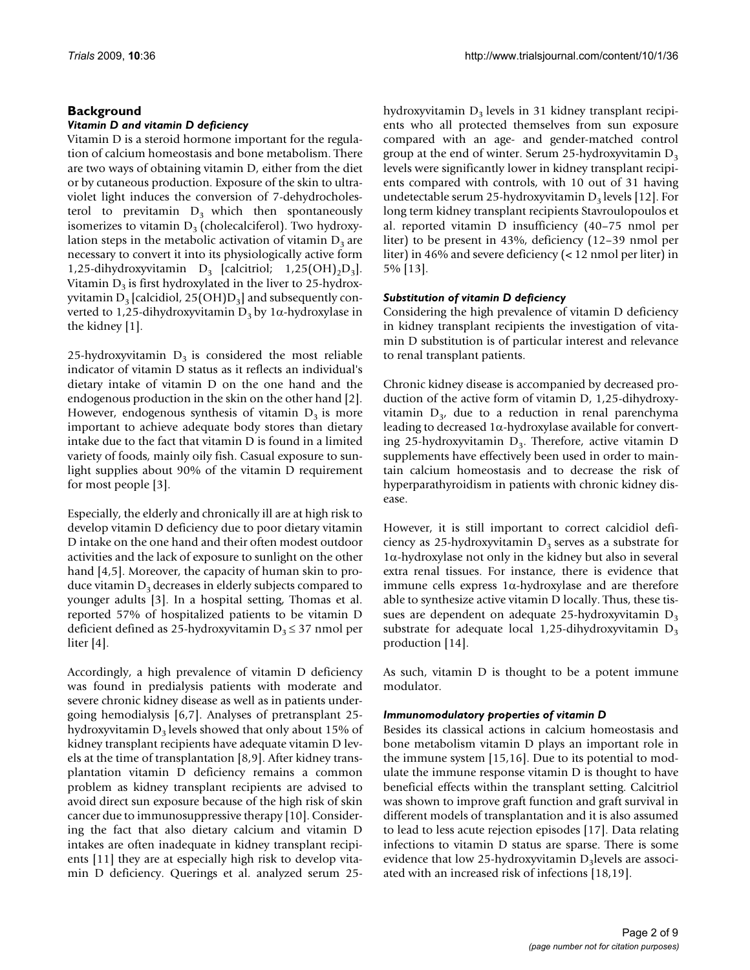#### **Background**

#### *Vitamin D and vitamin D deficiency*

Vitamin D is a steroid hormone important for the regulation of calcium homeostasis and bone metabolism. There are two ways of obtaining vitamin D, either from the diet or by cutaneous production. Exposure of the skin to ultraviolet light induces the conversion of 7-dehydrocholesterol to previtamin  $D_3$  which then spontaneously isomerizes to vitamin  $D_3$  (cholecalciferol). Two hydroxylation steps in the metabolic activation of vitamin  $D_3$  are necessary to convert it into its physiologically active form 1,25-dihydroxyvitamin  $D_3$  [calcitriol; 1,25(OH)<sub>2</sub>D<sub>3</sub>]. Vitamin  $D_3$  is first hydroxylated in the liver to 25-hydroxyvitamin  $D_3$  [calcidiol, 25(OH) $D_3$ ] and subsequently converted to 1,25-dihydroxyvitamin  $D_3$  by 1 $\alpha$ -hydroxylase in the kidney [\[1\]](#page-7-0).

25-hydroxyvitamin  $D_3$  is considered the most reliable indicator of vitamin D status as it reflects an individual's dietary intake of vitamin D on the one hand and the endogenous production in the skin on the other hand [[2](#page-7-1)]. However, endogenous synthesis of vitamin  $D_3$  is more important to achieve adequate body stores than dietary intake due to the fact that vitamin D is found in a limited variety of foods, mainly oily fish. Casual exposure to sunlight supplies about 90% of the vitamin D requirement for most people [[3](#page-7-2)].

Especially, the elderly and chronically ill are at high risk to develop vitamin D deficiency due to poor dietary vitamin D intake on the one hand and their often modest outdoor activities and the lack of exposure to sunlight on the other hand [[4](#page-7-3),[5](#page-7-4)]. Moreover, the capacity of human skin to produce vitamin  $D_3$  decreases in elderly subjects compared to younger adults [[3\]](#page-7-2). In a hospital setting, Thomas et al. reported 57% of hospitalized patients to be vitamin D deficient defined as 25-hydroxyvitamin  $D_3 \leq 37$  nmol per liter [[4](#page-7-3)].

Accordingly, a high prevalence of vitamin D deficiency was found in predialysis patients with moderate and severe chronic kidney disease as well as in patients undergoing hemodialysis [[6](#page-7-5),[7](#page-7-6)]. Analyses of pretransplant 25 hydroxyvitamin  $D_3$  levels showed that only about 15% of kidney transplant recipients have adequate vitamin D levels at the time of transplantation [\[8](#page-7-7)[,9\]](#page-7-8). After kidney transplantation vitamin D deficiency remains a common problem as kidney transplant recipients are advised to avoid direct sun exposure because of the high risk of skin cancer due to immunosuppressive therapy [\[10\]](#page-7-9). Considering the fact that also dietary calcium and vitamin D intakes are often inadequate in kidney transplant recipients [[11\]](#page-7-10) they are at especially high risk to develop vitamin D deficiency. Querings et al. analyzed serum 25hydroxyvitamin  $D_3$  levels in 31 kidney transplant recipients who all protected themselves from sun exposure compared with an age- and gender-matched control group at the end of winter. Serum 25-hydroxyvitamin  $D_3$ levels were significantly lower in kidney transplant recipients compared with controls, with 10 out of 31 having undetectable serum 25-hydroxyvitamin  $D_3$  levels [\[12](#page-7-11)]. For long term kidney transplant recipients Stavroulopoulos et al. reported vitamin D insufficiency (40–75 nmol per liter) to be present in 43%, deficiency (12–39 nmol per liter) in 46% and severe deficiency (< 12 nmol per liter) in 5% [\[13\]](#page-7-12).

#### *Substitution of vitamin D deficiency*

Considering the high prevalence of vitamin D deficiency in kidney transplant recipients the investigation of vitamin D substitution is of particular interest and relevance to renal transplant patients.

Chronic kidney disease is accompanied by decreased production of the active form of vitamin D, 1,25-dihydroxyvitamin  $D_{3}$ , due to a reduction in renal parenchyma leading to decreased 1α-hydroxylase available for converting 25-hydroxyvitamin  $D_3$ . Therefore, active vitamin D supplements have effectively been used in order to maintain calcium homeostasis and to decrease the risk of hyperparathyroidism in patients with chronic kidney disease.

However, it is still important to correct calcidiol deficiency as 25-hydroxyvitamin  $D_3$  serves as a substrate for  $1\alpha$ -hydroxylase not only in the kidney but also in several extra renal tissues. For instance, there is evidence that immune cells express 1α-hydroxylase and are therefore able to synthesize active vitamin D locally. Thus, these tissues are dependent on adequate 25-hydroxyvitamin  $D_3$ substrate for adequate local 1,25-dihydroxyvitamin  $D_3$ production [\[14](#page-7-13)].

As such, vitamin D is thought to be a potent immune modulator.

#### *Immunomodulatory properties of vitamin D*

Besides its classical actions in calcium homeostasis and bone metabolism vitamin D plays an important role in the immune system [\[15](#page-7-14),[16\]](#page-7-15). Due to its potential to modulate the immune response vitamin D is thought to have beneficial effects within the transplant setting. Calcitriol was shown to improve graft function and graft survival in different models of transplantation and it is also assumed to lead to less acute rejection episodes [\[17\]](#page-7-16). Data relating infections to vitamin D status are sparse. There is some evidence that low 25-hydroxyvitamin  $D_3$  levels are associated with an increased risk of infections [[18](#page-7-17)[,19](#page-7-18)].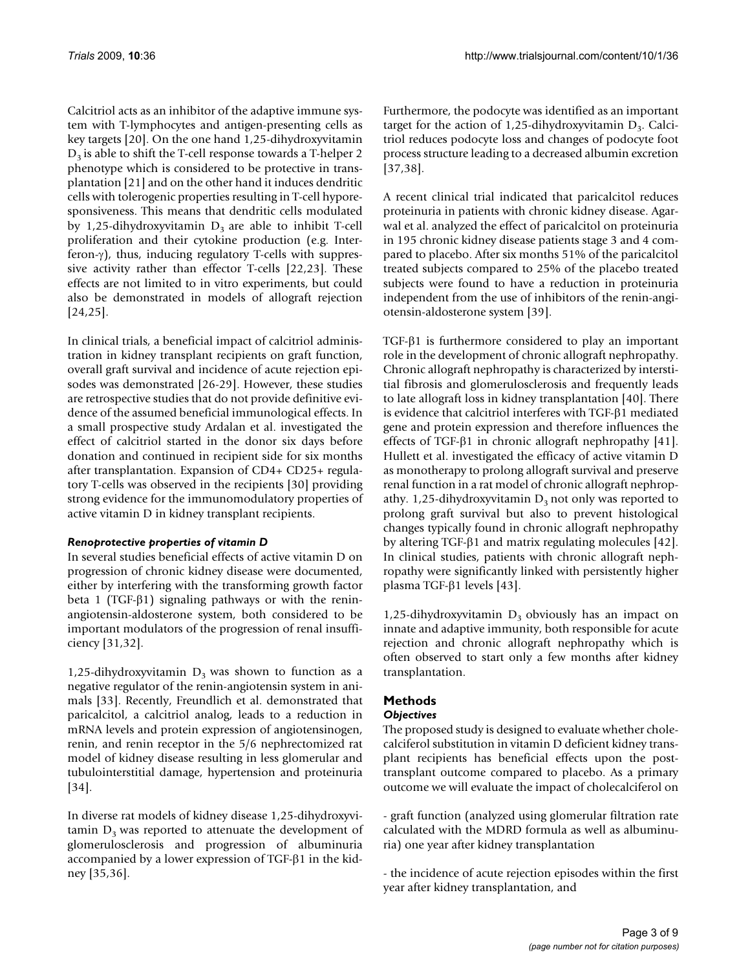Calcitriol acts as an inhibitor of the adaptive immune system with T-lymphocytes and antigen-presenting cells as key targets [[20\]](#page-7-19). On the one hand 1,25-dihydroxyvitamin  $D_3$  is able to shift the T-cell response towards a T-helper 2 phenotype which is considered to be protective in transplantation [[21](#page-7-20)] and on the other hand it induces dendritic cells with tolerogenic properties resulting in T-cell hyporesponsiveness. This means that dendritic cells modulated by 1,25-dihydroxyvitamin  $D_3$  are able to inhibit T-cell proliferation and their cytokine production (e.g. Interferon-γ), thus, inducing regulatory T-cells with suppressive activity rather than effector T-cells [\[22](#page-7-21)[,23](#page-7-22)]. These effects are not limited to in vitro experiments, but could also be demonstrated in models of allograft rejection [[24](#page-7-23),[25\]](#page-7-24).

In clinical trials, a beneficial impact of calcitriol administration in kidney transplant recipients on graft function, overall graft survival and incidence of acute rejection episodes was demonstrated [\[26-](#page-7-25)[29\]](#page-7-26). However, these studies are retrospective studies that do not provide definitive evidence of the assumed beneficial immunological effects. In a small prospective study Ardalan et al. investigated the effect of calcitriol started in the donor six days before donation and continued in recipient side for six months after transplantation. Expansion of CD4+ CD25+ regulatory T-cells was observed in the recipients [[30\]](#page-7-27) providing strong evidence for the immunomodulatory properties of active vitamin D in kidney transplant recipients.

#### *Renoprotective properties of vitamin D*

In several studies beneficial effects of active vitamin D on progression of chronic kidney disease were documented, either by interfering with the transforming growth factor beta 1 (TGF-β1) signaling pathways or with the reninangiotensin-aldosterone system, both considered to be important modulators of the progression of renal insufficiency [\[31](#page-7-28),[32](#page-7-29)].

1,25-dihydroxyvitamin  $D_3$  was shown to function as a negative regulator of the renin-angiotensin system in animals [\[33\]](#page-7-30). Recently, Freundlich et al. demonstrated that paricalcitol, a calcitriol analog, leads to a reduction in mRNA levels and protein expression of angiotensinogen, renin, and renin receptor in the 5/6 nephrectomized rat model of kidney disease resulting in less glomerular and tubulointerstitial damage, hypertension and proteinuria [[34](#page-7-31)].

In diverse rat models of kidney disease 1,25-dihydroxyvitamin  $D_3$  was reported to attenuate the development of glomerulosclerosis and progression of albuminuria accompanied by a lower expression of TGF-β1 in the kidney [\[35](#page-7-32)[,36](#page-7-33)].

Furthermore, the podocyte was identified as an important target for the action of 1,25-dihydroxyvitamin  $D_3$ . Calcitriol reduces podocyte loss and changes of podocyte foot process structure leading to a decreased albumin excretion [[37](#page-7-34),[38\]](#page-7-35).

A recent clinical trial indicated that paricalcitol reduces proteinuria in patients with chronic kidney disease. Agarwal et al. analyzed the effect of paricalcitol on proteinuria in 195 chronic kidney disease patients stage 3 and 4 compared to placebo. After six months 51% of the paricalcitol treated subjects compared to 25% of the placebo treated subjects were found to have a reduction in proteinuria independent from the use of inhibitors of the renin-angiotensin-aldosterone system [[39\]](#page-8-0).

TGF-β1 is furthermore considered to play an important role in the development of chronic allograft nephropathy. Chronic allograft nephropathy is characterized by interstitial fibrosis and glomerulosclerosis and frequently leads to late allograft loss in kidney transplantation [\[40](#page-8-1)]. There is evidence that calcitriol interferes with TGF-β1 mediated gene and protein expression and therefore influences the effects of TGF-β1 in chronic allograft nephropathy [\[41](#page-8-2)]. Hullett et al. investigated the efficacy of active vitamin D as monotherapy to prolong allograft survival and preserve renal function in a rat model of chronic allograft nephropathy. 1,25-dihydroxyvitamin  $D_3$  not only was reported to prolong graft survival but also to prevent histological changes typically found in chronic allograft nephropathy by altering TGF-β1 and matrix regulating molecules [\[42](#page-8-3)]. In clinical studies, patients with chronic allograft nephropathy were significantly linked with persistently higher plasma TGF-β1 levels [[43\]](#page-8-4).

1,25-dihydroxyvitamin  $D_3$  obviously has an impact on innate and adaptive immunity, both responsible for acute rejection and chronic allograft nephropathy which is often observed to start only a few months after kidney transplantation.

## **Methods**

### *Objectives*

The proposed study is designed to evaluate whether cholecalciferol substitution in vitamin D deficient kidney transplant recipients has beneficial effects upon the posttransplant outcome compared to placebo. As a primary outcome we will evaluate the impact of cholecalciferol on

- graft function (analyzed using glomerular filtration rate calculated with the MDRD formula as well as albuminuria) one year after kidney transplantation

- the incidence of acute rejection episodes within the first year after kidney transplantation, and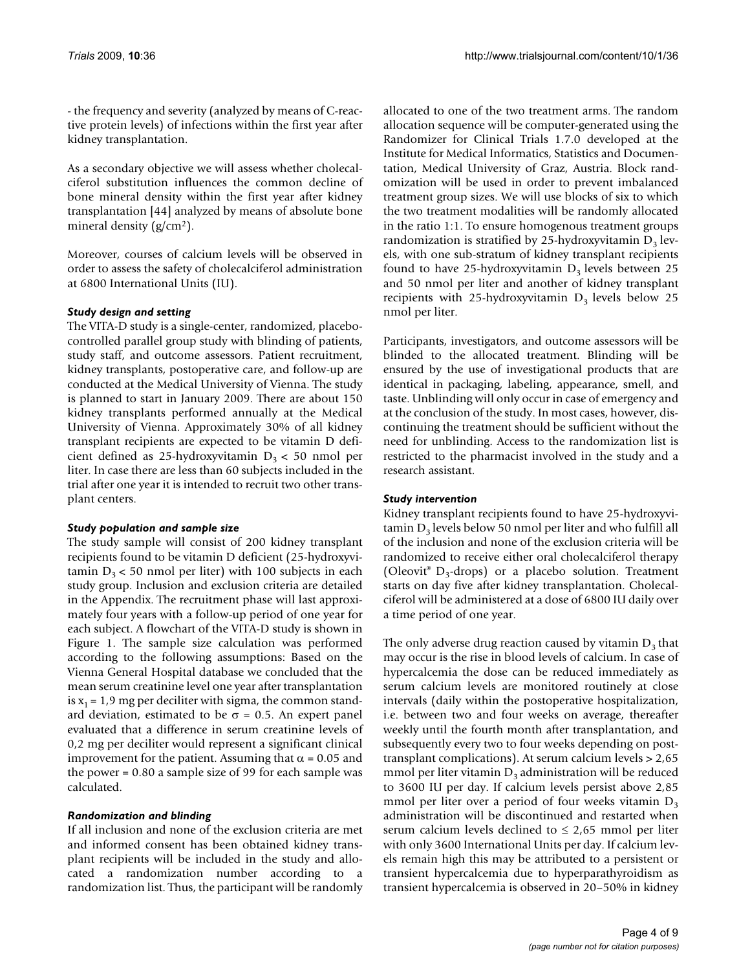- the frequency and severity (analyzed by means of C-reactive protein levels) of infections within the first year after kidney transplantation.

As a secondary objective we will assess whether cholecalciferol substitution influences the common decline of bone mineral density within the first year after kidney transplantation [[44\]](#page-8-5) analyzed by means of absolute bone mineral density  $(g/cm<sup>2</sup>)$ .

Moreover, courses of calcium levels will be observed in order to assess the safety of cholecalciferol administration at 6800 International Units (IU).

#### *Study design and setting*

The VITA-D study is a single-center, randomized, placebocontrolled parallel group study with blinding of patients, study staff, and outcome assessors. Patient recruitment, kidney transplants, postoperative care, and follow-up are conducted at the Medical University of Vienna. The study is planned to start in January 2009. There are about 150 kidney transplants performed annually at the Medical University of Vienna. Approximately 30% of all kidney transplant recipients are expected to be vitamin D deficient defined as 25-hydroxyvitamin  $D_3 < 50$  nmol per liter. In case there are less than 60 subjects included in the trial after one year it is intended to recruit two other transplant centers.

#### *Study population and sample size*

The study sample will consist of 200 kidney transplant recipients found to be vitamin D deficient (25-hydroxyvitamin  $D_3$  < 50 nmol per liter) with 100 subjects in each study group. Inclusion and exclusion criteria are detailed in the Appendix. The recruitment phase will last approximately four years with a follow-up period of one year for each subject. A flowchart of the VITA-D study is shown in Figure [1](#page-4-0). The sample size calculation was performed according to the following assumptions: Based on the Vienna General Hospital database we concluded that the mean serum creatinine level one year after transplantation is  $x_1 = 1.9$  mg per deciliter with sigma, the common standard deviation, estimated to be  $σ = 0.5$ . An expert panel evaluated that a difference in serum creatinine levels of 0,2 mg per deciliter would represent a significant clinical improvement for the patient. Assuming that  $α = 0.05$  and the power = 0.80 a sample size of 99 for each sample was calculated.

#### *Randomization and blinding*

If all inclusion and none of the exclusion criteria are met and informed consent has been obtained kidney transplant recipients will be included in the study and allocated a randomization number according to a randomization list. Thus, the participant will be randomly allocated to one of the two treatment arms. The random allocation sequence will be computer-generated using the Randomizer for Clinical Trials 1.7.0 developed at the Institute for Medical Informatics, Statistics and Documentation, Medical University of Graz, Austria. Block randomization will be used in order to prevent imbalanced treatment group sizes. We will use blocks of six to which the two treatment modalities will be randomly allocated in the ratio 1:1. To ensure homogenous treatment groups randomization is stratified by 25-hydroxyvitamin  $D_3$  levels, with one sub-stratum of kidney transplant recipients found to have 25-hydroxyvitamin  $D_3$  levels between 25 and 50 nmol per liter and another of kidney transplant recipients with 25-hydroxyvitamin  $D_3$  levels below 25 nmol per liter.

Participants, investigators, and outcome assessors will be blinded to the allocated treatment. Blinding will be ensured by the use of investigational products that are identical in packaging, labeling, appearance, smell, and taste. Unblinding will only occur in case of emergency and at the conclusion of the study. In most cases, however, discontinuing the treatment should be sufficient without the need for unblinding. Access to the randomization list is restricted to the pharmacist involved in the study and a research assistant.

#### *Study intervention*

Kidney transplant recipients found to have 25-hydroxyvi $t_{\text{a}}$  tamin D<sub>3</sub> levels below 50 nmol per liter and who fulfill all of the inclusion and none of the exclusion criteria will be randomized to receive either oral cholecalciferol therapy (Oleovit<sup>®</sup> D<sub>3</sub>-drops) or a placebo solution. Treatment starts on day five after kidney transplantation. Cholecalciferol will be administered at a dose of 6800 IU daily over a time period of one year.

The only adverse drug reaction caused by vitamin  $D_3$  that may occur is the rise in blood levels of calcium. In case of hypercalcemia the dose can be reduced immediately as serum calcium levels are monitored routinely at close intervals (daily within the postoperative hospitalization, i.e. between two and four weeks on average, thereafter weekly until the fourth month after transplantation, and subsequently every two to four weeks depending on posttransplant complications). At serum calcium levels > 2,65 mmol per liter vitamin  $D_3$  administration will be reduced to 3600 IU per day. If calcium levels persist above 2,85 mmol per liter over a period of four weeks vitamin  $D_3$ administration will be discontinued and restarted when serum calcium levels declined to  $\leq 2.65$  mmol per liter with only 3600 International Units per day. If calcium levels remain high this may be attributed to a persistent or transient hypercalcemia due to hyperparathyroidism as transient hypercalcemia is observed in 20–50% in kidney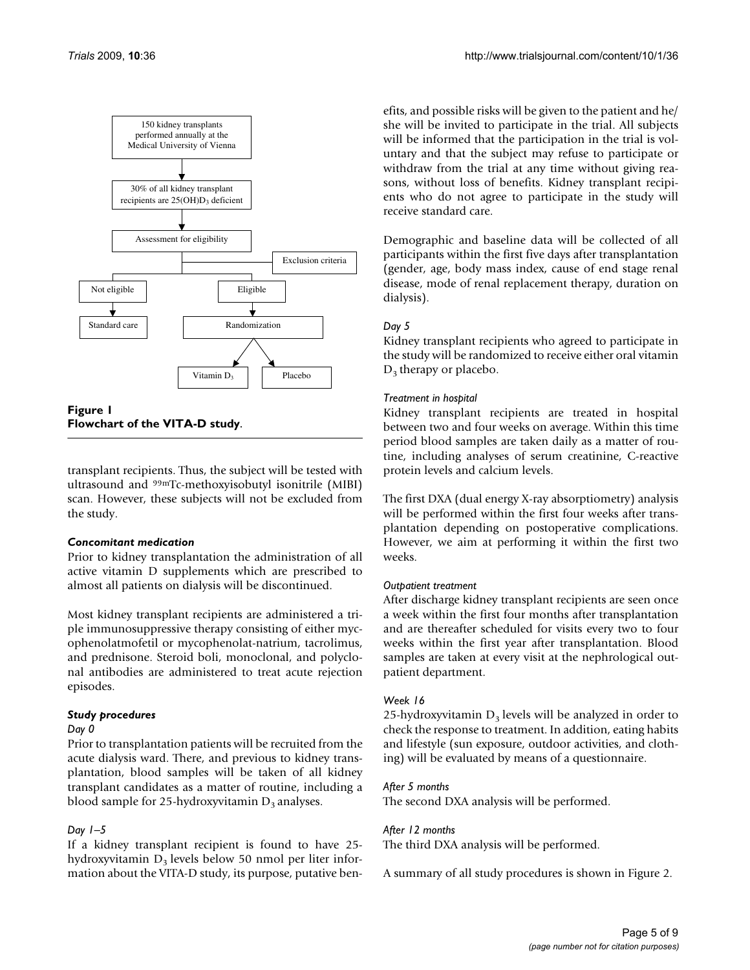<span id="page-4-0"></span>

**Flowchart of the VITA-D study**.

transplant recipients. Thus, the subject will be tested with ultrasound and 99mTc-methoxyisobutyl isonitrile (MIBI) scan. However, these subjects will not be excluded from the study.

#### *Concomitant medication*

Prior to kidney transplantation the administration of all active vitamin D supplements which are prescribed to almost all patients on dialysis will be discontinued.

Most kidney transplant recipients are administered a triple immunosuppressive therapy consisting of either mycophenolatmofetil or mycophenolat-natrium, tacrolimus, and prednisone. Steroid boli, monoclonal, and polyclonal antibodies are administered to treat acute rejection episodes.

#### *Study procedures*

#### *Day 0*

Prior to transplantation patients will be recruited from the acute dialysis ward. There, and previous to kidney transplantation, blood samples will be taken of all kidney transplant candidates as a matter of routine, including a blood sample for 25-hydroxyvitamin  $D_3$  analyses.

#### *Day 1–5*

If a kidney transplant recipient is found to have 25 hydroxyvitamin  $D_3$  levels below 50 nmol per liter information about the VITA-D study, its purpose, putative benefits, and possible risks will be given to the patient and he/ she will be invited to participate in the trial. All subjects will be informed that the participation in the trial is voluntary and that the subject may refuse to participate or withdraw from the trial at any time without giving reasons, without loss of benefits. Kidney transplant recipients who do not agree to participate in the study will receive standard care.

Demographic and baseline data will be collected of all participants within the first five days after transplantation (gender, age, body mass index, cause of end stage renal disease, mode of renal replacement therapy, duration on dialysis).

#### *Day 5*

Kidney transplant recipients who agreed to participate in the study will be randomized to receive either oral vitamin  $D_3$  therapy or placebo.

#### *Treatment in hospital*

Kidney transplant recipients are treated in hospital between two and four weeks on average. Within this time period blood samples are taken daily as a matter of routine, including analyses of serum creatinine, C-reactive protein levels and calcium levels.

The first DXA (dual energy X-ray absorptiometry) analysis will be performed within the first four weeks after transplantation depending on postoperative complications. However, we aim at performing it within the first two weeks.

#### *Outpatient treatment*

After discharge kidney transplant recipients are seen once a week within the first four months after transplantation and are thereafter scheduled for visits every two to four weeks within the first year after transplantation. Blood samples are taken at every visit at the nephrological outpatient department.

#### *Week 16*

25-hydroxyvitamin  $D_3$  levels will be analyzed in order to check the response to treatment. In addition, eating habits and lifestyle (sun exposure, outdoor activities, and clothing) will be evaluated by means of a questionnaire.

#### *After 5 months*

The second DXA analysis will be performed.

#### *After 12 months*

The third DXA analysis will be performed.

A summary of all study procedures is shown in Figure [2.](#page-6-0)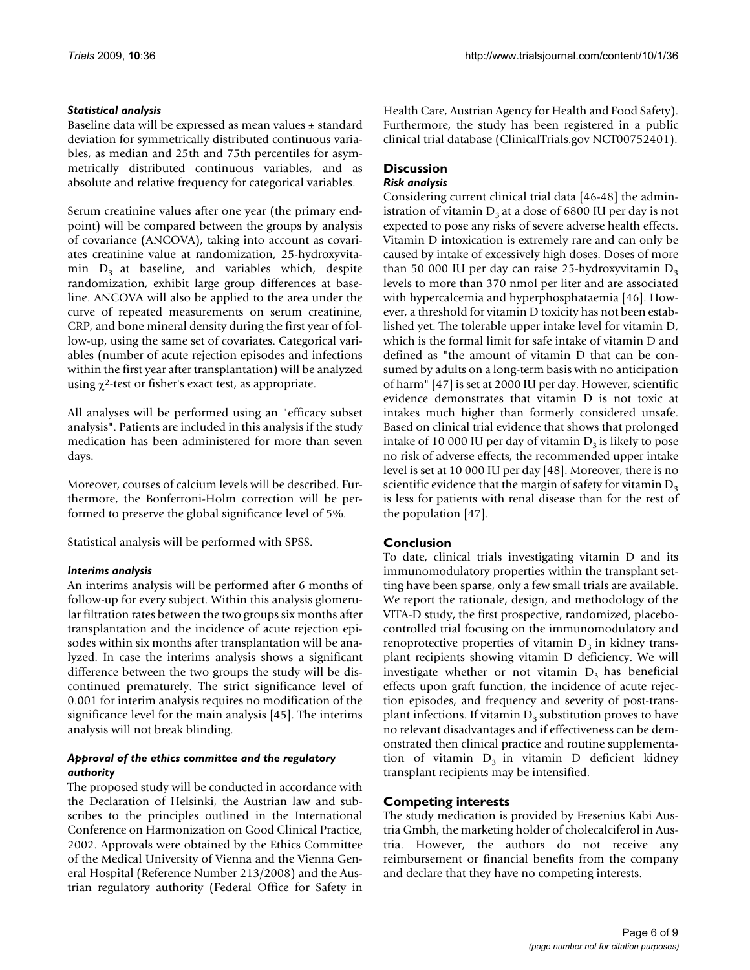#### *Statistical analysis*

Baseline data will be expressed as mean values ± standard deviation for symmetrically distributed continuous variables, as median and 25th and 75th percentiles for asymmetrically distributed continuous variables, and as absolute and relative frequency for categorical variables.

Serum creatinine values after one year (the primary endpoint) will be compared between the groups by analysis of covariance (ANCOVA), taking into account as covariates creatinine value at randomization, 25-hydroxyvitamin  $D_3$  at baseline, and variables which, despite randomization, exhibit large group differences at baseline. ANCOVA will also be applied to the area under the curve of repeated measurements on serum creatinine, CRP, and bone mineral density during the first year of follow-up, using the same set of covariates. Categorical variables (number of acute rejection episodes and infections within the first year after transplantation) will be analyzed using  $\chi^2$ -test or fisher's exact test, as appropriate.

All analyses will be performed using an "efficacy subset analysis". Patients are included in this analysis if the study medication has been administered for more than seven days.

Moreover, courses of calcium levels will be described. Furthermore, the Bonferroni-Holm correction will be performed to preserve the global significance level of 5%.

Statistical analysis will be performed with SPSS.

#### *Interims analysis*

An interims analysis will be performed after 6 months of follow-up for every subject. Within this analysis glomerular filtration rates between the two groups six months after transplantation and the incidence of acute rejection episodes within six months after transplantation will be analyzed. In case the interims analysis shows a significant difference between the two groups the study will be discontinued prematurely. The strict significance level of 0.001 for interim analysis requires no modification of the significance level for the main analysis [[45](#page-8-6)]. The interims analysis will not break blinding.

#### *Approval of the ethics committee and the regulatory authority*

The proposed study will be conducted in accordance with the Declaration of Helsinki, the Austrian law and subscribes to the principles outlined in the International Conference on Harmonization on Good Clinical Practice, 2002. Approvals were obtained by the Ethics Committee of the Medical University of Vienna and the Vienna General Hospital (Reference Number 213/2008) and the Austrian regulatory authority (Federal Office for Safety in Health Care, Austrian Agency for Health and Food Safety). Furthermore, the study has been registered in a public clinical trial database (ClinicalTrials.gov NCT00752401).

#### **Discussion** *Risk analysis*

Considering current clinical trial data [[46](#page-8-7)[-48](#page-8-8)] the administration of vitamin  $D_3$  at a dose of 6800 IU per day is not expected to pose any risks of severe adverse health effects. Vitamin D intoxication is extremely rare and can only be caused by intake of excessively high doses. Doses of more than 50 000 IU per day can raise 25-hydroxyvitamin  $D_3$ levels to more than 370 nmol per liter and are associated with hypercalcemia and hyperphosphataemia [\[46](#page-8-7)]. However, a threshold for vitamin D toxicity has not been established yet. The tolerable upper intake level for vitamin D, which is the formal limit for safe intake of vitamin D and defined as "the amount of vitamin D that can be consumed by adults on a long-term basis with no anticipation of harm" [[47\]](#page-8-9) is set at 2000 IU per day. However, scientific evidence demonstrates that vitamin D is not toxic at intakes much higher than formerly considered unsafe. Based on clinical trial evidence that shows that prolonged intake of 10 000 IU per day of vitamin  $D_3$  is likely to pose no risk of adverse effects, the recommended upper intake level is set at 10 000 IU per day [[48\]](#page-8-8). Moreover, there is no scientific evidence that the margin of safety for vitamin  $D_3$ is less for patients with renal disease than for the rest of the population [\[47\]](#page-8-9).

## **Conclusion**

To date, clinical trials investigating vitamin D and its immunomodulatory properties within the transplant setting have been sparse, only a few small trials are available. We report the rationale, design, and methodology of the VITA-D study, the first prospective, randomized, placebocontrolled trial focusing on the immunomodulatory and renoprotective properties of vitamin  $D_3$  in kidney transplant recipients showing vitamin D deficiency. We will investigate whether or not vitamin  $D_3$  has beneficial effects upon graft function, the incidence of acute rejection episodes, and frequency and severity of post-transplant infections. If vitamin  $D_3$  substitution proves to have no relevant disadvantages and if effectiveness can be demonstrated then clinical practice and routine supplementation of vitamin  $D_3$  in vitamin D deficient kidney transplant recipients may be intensified.

### **Competing interests**

The study medication is provided by Fresenius Kabi Austria Gmbh, the marketing holder of cholecalciferol in Austria. However, the authors do not receive any reimbursement or financial benefits from the company and declare that they have no competing interests.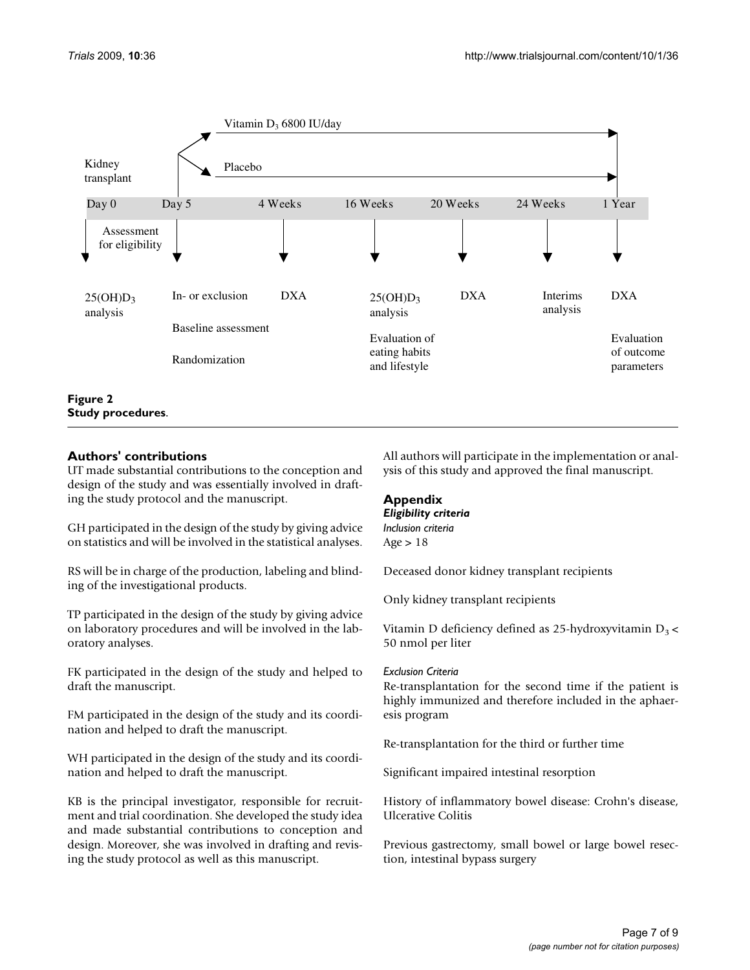<span id="page-6-0"></span>

#### **Authors' contributions**

UT made substantial contributions to the conception and design of the study and was essentially involved in drafting the study protocol and the manuscript.

GH participated in the design of the study by giving advice on statistics and will be involved in the statistical analyses.

RS will be in charge of the production, labeling and blinding of the investigational products.

TP participated in the design of the study by giving advice on laboratory procedures and will be involved in the laboratory analyses.

FK participated in the design of the study and helped to draft the manuscript.

FM participated in the design of the study and its coordination and helped to draft the manuscript.

WH participated in the design of the study and its coordination and helped to draft the manuscript.

KB is the principal investigator, responsible for recruitment and trial coordination. She developed the study idea and made substantial contributions to conception and design. Moreover, she was involved in drafting and revising the study protocol as well as this manuscript.

All authors will participate in the implementation or analysis of this study and approved the final manuscript.

## **Appendix**

#### *Eligibility criteria Inclusion criteria* Age  $> 18$

Deceased donor kidney transplant recipients

Only kidney transplant recipients

Vitamin D deficiency defined as 25-hydroxyvitamin  $D_3$  < 50 nmol per liter

#### *Exclusion Criteria*

Re-transplantation for the second time if the patient is highly immunized and therefore included in the aphaeresis program

Re-transplantation for the third or further time

Significant impaired intestinal resorption

History of inflammatory bowel disease: Crohn's disease, Ulcerative Colitis

Previous gastrectomy, small bowel or large bowel resection, intestinal bypass surgery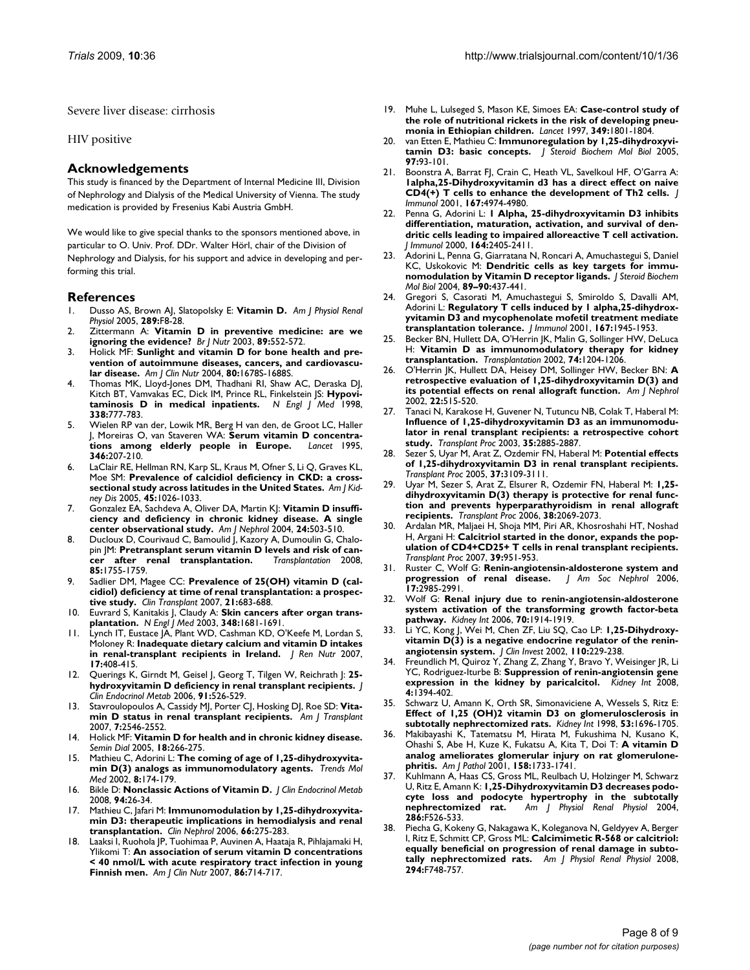Severe liver disease: cirrhosis

#### HIV positive

#### **Acknowledgements**

This study is financed by the Department of Internal Medicine III, Division of Nephrology and Dialysis of the Medical University of Vienna. The study medication is provided by Fresenius Kabi Austria GmbH.

We would like to give special thanks to the sponsors mentioned above, in particular to O. Univ. Prof. DDr. Walter Hörl, chair of the Division of Nephrology and Dialysis, for his support and advice in developing and performing this trial.

#### **References**

- <span id="page-7-0"></span>1. Dusso AS, Brown AJ, Slatopolsky E: **[Vitamin D.](http://www.ncbi.nlm.nih.gov/entrez/query.fcgi?cmd=Retrieve&db=PubMed&dopt=Abstract&list_uids=15951480)** *Am J Physiol Renal Physiol* 2005, **289:**F8-28.
- <span id="page-7-1"></span>2. Zittermann A: **[Vitamin D in preventive medicine: are we](http://www.ncbi.nlm.nih.gov/entrez/query.fcgi?cmd=Retrieve&db=PubMed&dopt=Abstract&list_uids=12720576) [ignoring the evidence?](http://www.ncbi.nlm.nih.gov/entrez/query.fcgi?cmd=Retrieve&db=PubMed&dopt=Abstract&list_uids=12720576)** *Br J Nutr* 2003, **89:**552-572.
- <span id="page-7-2"></span>3. Holick MF: **[Sunlight and vitamin D for bone health and pre](http://www.ncbi.nlm.nih.gov/entrez/query.fcgi?cmd=Retrieve&db=PubMed&dopt=Abstract&list_uids=15585788)[vention of autoimmune diseases, cancers, and cardiovascu](http://www.ncbi.nlm.nih.gov/entrez/query.fcgi?cmd=Retrieve&db=PubMed&dopt=Abstract&list_uids=15585788)[lar disease.](http://www.ncbi.nlm.nih.gov/entrez/query.fcgi?cmd=Retrieve&db=PubMed&dopt=Abstract&list_uids=15585788)** *Am J Clin Nutr* 2004, **80:**1678S-1688S.
- <span id="page-7-3"></span>4. Thomas MK, Lloyd-Jones DM, Thadhani RI, Shaw AC, Deraska DJ, Kitch BT, Vamvakas EC, Dick IM, Prince RL, Finkelstein JS: **[Hypovi](http://www.ncbi.nlm.nih.gov/entrez/query.fcgi?cmd=Retrieve&db=PubMed&dopt=Abstract&list_uids=9504937)[taminosis D in medical inpatients.](http://www.ncbi.nlm.nih.gov/entrez/query.fcgi?cmd=Retrieve&db=PubMed&dopt=Abstract&list_uids=9504937)** *N Engl J Med* 1998, **338:**777-783.
- <span id="page-7-4"></span>5. Wielen RP van der, Lowik MR, Berg H van den, de Groot LC, Haller J, Moreiras O, van Staveren WA: **[Serum vitamin D concentra](http://www.ncbi.nlm.nih.gov/entrez/query.fcgi?cmd=Retrieve&db=PubMed&dopt=Abstract&list_uids=7616799)[tions among elderly people in Europe.](http://www.ncbi.nlm.nih.gov/entrez/query.fcgi?cmd=Retrieve&db=PubMed&dopt=Abstract&list_uids=7616799)** *Lancet* 1995, **346:**207-210.
- <span id="page-7-5"></span>LaClair RE, Hellman RN, Karp SL, Kraus M, Ofner S, Li Q, Graves KL, Moe SM: **[Prevalence of calcidiol deficiency in CKD: a cross](http://www.ncbi.nlm.nih.gov/entrez/query.fcgi?cmd=Retrieve&db=PubMed&dopt=Abstract&list_uids=15957131)[sectional study across latitudes in the United States.](http://www.ncbi.nlm.nih.gov/entrez/query.fcgi?cmd=Retrieve&db=PubMed&dopt=Abstract&list_uids=15957131)** *Am J Kidney Dis* 2005, **45:**1026-1033.
- <span id="page-7-6"></span>7. Gonzalez EA, Sachdeva A, Oliver DA, Martin KJ: **[Vitamin D insuffi](http://www.ncbi.nlm.nih.gov/entrez/query.fcgi?cmd=Retrieve&db=PubMed&dopt=Abstract&list_uids=15452403)[ciency and deficiency in chronic kidney disease. A single](http://www.ncbi.nlm.nih.gov/entrez/query.fcgi?cmd=Retrieve&db=PubMed&dopt=Abstract&list_uids=15452403) [center observational study.](http://www.ncbi.nlm.nih.gov/entrez/query.fcgi?cmd=Retrieve&db=PubMed&dopt=Abstract&list_uids=15452403)** *Am J Nephrol* 2004, **24:**503-510.
- <span id="page-7-7"></span>8. Ducloux D, Courivaud C, Bamoulid J, Kazory A, Dumoulin G, Chalopin JM: **[Pretransplant serum vitamin D levels and risk of can](http://www.ncbi.nlm.nih.gov/entrez/query.fcgi?cmd=Retrieve&db=PubMed&dopt=Abstract&list_uids=18580467)[cer after renal transplantation.](http://www.ncbi.nlm.nih.gov/entrez/query.fcgi?cmd=Retrieve&db=PubMed&dopt=Abstract&list_uids=18580467)** *Transplantation* 2008, **85:**1755-1759.
- <span id="page-7-8"></span>Sadlier DM, Magee CC: [Prevalence of 25\(OH\) vitamin D \(cal](http://www.ncbi.nlm.nih.gov/entrez/query.fcgi?cmd=Retrieve&db=PubMed&dopt=Abstract&list_uids=17988259)**[cidiol\) deficiency at time of renal transplantation: a prospec](http://www.ncbi.nlm.nih.gov/entrez/query.fcgi?cmd=Retrieve&db=PubMed&dopt=Abstract&list_uids=17988259)[tive study.](http://www.ncbi.nlm.nih.gov/entrez/query.fcgi?cmd=Retrieve&db=PubMed&dopt=Abstract&list_uids=17988259)** *Clin Transplant* 2007, **21:**683-688.
- <span id="page-7-9"></span>10. Euvrard S, Kanitakis J, Claudy A: **[Skin cancers after organ trans](http://www.ncbi.nlm.nih.gov/entrez/query.fcgi?cmd=Retrieve&db=PubMed&dopt=Abstract&list_uids=12711744)[plantation.](http://www.ncbi.nlm.nih.gov/entrez/query.fcgi?cmd=Retrieve&db=PubMed&dopt=Abstract&list_uids=12711744)** *N Engl J Med* 2003, **348:**1681-1691.
- <span id="page-7-10"></span>11. Lynch IT, Eustace JA, Plant WD, Cashman KD, O'Keefe M, Lordan S, Moloney R: **[Inadequate dietary calcium and vitamin D intakes](http://www.ncbi.nlm.nih.gov/entrez/query.fcgi?cmd=Retrieve&db=PubMed&dopt=Abstract&list_uids=17971313) [in renal-transplant recipients in Ireland.](http://www.ncbi.nlm.nih.gov/entrez/query.fcgi?cmd=Retrieve&db=PubMed&dopt=Abstract&list_uids=17971313)** *J Ren Nutr* 2007, **17:**408-415.
- <span id="page-7-11"></span>12. Querings K, Girndt M, Geisel J, Georg T, Tilgen W, Reichrath J: **[25](http://www.ncbi.nlm.nih.gov/entrez/query.fcgi?cmd=Retrieve&db=PubMed&dopt=Abstract&list_uids=16303843) [hydroxyvitamin D deficiency in renal transplant recipients.](http://www.ncbi.nlm.nih.gov/entrez/query.fcgi?cmd=Retrieve&db=PubMed&dopt=Abstract&list_uids=16303843)** *J Clin Endocrinol Metab* 2006, **91:**526-529.
- <span id="page-7-12"></span>13. Stavroulopoulos A, Cassidy MJ, Porter CJ, Hosking DJ, Roe SD: [Vita](http://www.ncbi.nlm.nih.gov/entrez/query.fcgi?cmd=Retrieve&db=PubMed&dopt=Abstract&list_uids=17908281)**[min D status in renal transplant recipients.](http://www.ncbi.nlm.nih.gov/entrez/query.fcgi?cmd=Retrieve&db=PubMed&dopt=Abstract&list_uids=17908281)** *Am J Transplant* 2007, **7:**2546-2552.
- <span id="page-7-13"></span>14. Holick MF: **[Vitamin D for health and in chronic kidney disease.](http://www.ncbi.nlm.nih.gov/entrez/query.fcgi?cmd=Retrieve&db=PubMed&dopt=Abstract&list_uids=16076348)** *Semin Dial* 2005, **18:**266-275.
- <span id="page-7-14"></span>15. Mathieu C, Adorini L: **[The coming of age of 1,25-dihydroxyvita](http://www.ncbi.nlm.nih.gov/entrez/query.fcgi?cmd=Retrieve&db=PubMed&dopt=Abstract&list_uids=11927275)[min D\(3\) analogs as immunomodulatory agents.](http://www.ncbi.nlm.nih.gov/entrez/query.fcgi?cmd=Retrieve&db=PubMed&dopt=Abstract&list_uids=11927275)** *Trends Mol Med* 2002, **8:**174-179.
- <span id="page-7-15"></span>16. Bikle D: **[Nonclassic Actions of Vitamin D.](http://www.ncbi.nlm.nih.gov/entrez/query.fcgi?cmd=Retrieve&db=PubMed&dopt=Abstract&list_uids=18854395)** *J Clin Endocrinol Metab* 2008, **94:**26-34.
- <span id="page-7-16"></span>17. Mathieu C, Jafari M: **[Immunomodulation by 1,25-dihydroxyvita](http://www.ncbi.nlm.nih.gov/entrez/query.fcgi?cmd=Retrieve&db=PubMed&dopt=Abstract&list_uids=17063995)[min D3: therapeutic implications in hemodialysis and renal](http://www.ncbi.nlm.nih.gov/entrez/query.fcgi?cmd=Retrieve&db=PubMed&dopt=Abstract&list_uids=17063995) [transplantation.](http://www.ncbi.nlm.nih.gov/entrez/query.fcgi?cmd=Retrieve&db=PubMed&dopt=Abstract&list_uids=17063995)** *Clin Nephrol* 2006, **66:**275-283.
- <span id="page-7-17"></span>18. Laaksi I, Ruohola JP, Tuohimaa P, Auvinen A, Haataja R, Pihlajamaki H, Ylikomi T: **[An association of serum vitamin D concentrations](http://www.ncbi.nlm.nih.gov/entrez/query.fcgi?cmd=Retrieve&db=PubMed&dopt=Abstract&list_uids=17823437) [< 40 nmol/L with acute respiratory tract infection in young](http://www.ncbi.nlm.nih.gov/entrez/query.fcgi?cmd=Retrieve&db=PubMed&dopt=Abstract&list_uids=17823437) [Finnish men.](http://www.ncbi.nlm.nih.gov/entrez/query.fcgi?cmd=Retrieve&db=PubMed&dopt=Abstract&list_uids=17823437)** *Am J Clin Nutr* 2007, **86:**714-717.
- <span id="page-7-18"></span>19. Muhe L, Lulseged S, Mason KE, Simoes EA: **[Case-control study of](http://www.ncbi.nlm.nih.gov/entrez/query.fcgi?cmd=Retrieve&db=PubMed&dopt=Abstract&list_uids=9269215) [the role of nutritional rickets in the risk of developing pneu](http://www.ncbi.nlm.nih.gov/entrez/query.fcgi?cmd=Retrieve&db=PubMed&dopt=Abstract&list_uids=9269215)[monia in Ethiopian children.](http://www.ncbi.nlm.nih.gov/entrez/query.fcgi?cmd=Retrieve&db=PubMed&dopt=Abstract&list_uids=9269215)** *Lancet* 1997, **349:**1801-1804.
- <span id="page-7-19"></span>20. van Etten E, Mathieu C: **[Immunoregulation by 1,25-dihydroxyvi](http://www.ncbi.nlm.nih.gov/entrez/query.fcgi?cmd=Retrieve&db=PubMed&dopt=Abstract&list_uids=16046118)[tamin D3: basic concepts.](http://www.ncbi.nlm.nih.gov/entrez/query.fcgi?cmd=Retrieve&db=PubMed&dopt=Abstract&list_uids=16046118)** *J Steroid Biochem Mol Biol* 2005, **97:**93-101.
- <span id="page-7-20"></span>21. Boonstra A, Barrat FJ, Crain C, Heath VL, Savelkoul HF, O'Garra A: **[1alpha,25-Dihydroxyvitamin d3 has a direct effect on naive](http://www.ncbi.nlm.nih.gov/entrez/query.fcgi?cmd=Retrieve&db=PubMed&dopt=Abstract&list_uids=11673504) [CD4\(+\) T cells to enhance the development of Th2 cells.](http://www.ncbi.nlm.nih.gov/entrez/query.fcgi?cmd=Retrieve&db=PubMed&dopt=Abstract&list_uids=11673504)** *J Immunol* 2001, **167:**4974-4980.
- <span id="page-7-21"></span>22. Penna G, Adorini L: **[1 Alpha, 25-dihydroxyvitamin D3 inhibits](http://www.ncbi.nlm.nih.gov/entrez/query.fcgi?cmd=Retrieve&db=PubMed&dopt=Abstract&list_uids=10679076) [differentiation, maturation, activation, and survival of den](http://www.ncbi.nlm.nih.gov/entrez/query.fcgi?cmd=Retrieve&db=PubMed&dopt=Abstract&list_uids=10679076)dritic cells leading to impaired alloreactive T cell activation.** *J Immunol* 2000, **164:**2405-2411.
- <span id="page-7-22"></span>23. Adorini L, Penna G, Giarratana N, Roncari A, Amuchastegui S, Daniel KC, Uskokovic M: **Dendritic cells as key targets for immunomodulation by Vitamin D receptor ligands.** *J Steroid Biochem Mol Biol* 2004, **89–90:**437-441.
- <span id="page-7-23"></span>24. Gregori S, Casorati M, Amuchastegui S, Smiroldo S, Davalli AM, Adorini L: **[Regulatory T cells induced by 1 alpha,25-dihydrox](http://www.ncbi.nlm.nih.gov/entrez/query.fcgi?cmd=Retrieve&db=PubMed&dopt=Abstract&list_uids=11489974)[yvitamin D3 and mycophenolate mofetil treatment mediate](http://www.ncbi.nlm.nih.gov/entrez/query.fcgi?cmd=Retrieve&db=PubMed&dopt=Abstract&list_uids=11489974) [transplantation tolerance.](http://www.ncbi.nlm.nih.gov/entrez/query.fcgi?cmd=Retrieve&db=PubMed&dopt=Abstract&list_uids=11489974)** *J Immunol* 2001, **167:**1945-1953.
- <span id="page-7-24"></span>25. Becker BN, Hullett DA, O'Herrin JK, Malin G, Sollinger HW, DeLuca H: **[Vitamin D as immunomodulatory therapy for kidney](http://www.ncbi.nlm.nih.gov/entrez/query.fcgi?cmd=Retrieve&db=PubMed&dopt=Abstract&list_uids=12438976) [transplantation.](http://www.ncbi.nlm.nih.gov/entrez/query.fcgi?cmd=Retrieve&db=PubMed&dopt=Abstract&list_uids=12438976)** *Transplantation* 2002, **74:**1204-1206.
- <span id="page-7-25"></span>26. O'Herrin JK, Hullett DA, Heisey DM, Sollinger HW, Becker BN: **[A](http://www.ncbi.nlm.nih.gov/entrez/query.fcgi?cmd=Retrieve&db=PubMed&dopt=Abstract&list_uids=12381953) [retrospective evaluation of 1,25-dihydroxyvitamin D\(3\) and](http://www.ncbi.nlm.nih.gov/entrez/query.fcgi?cmd=Retrieve&db=PubMed&dopt=Abstract&list_uids=12381953) [its potential effects on renal allograft function.](http://www.ncbi.nlm.nih.gov/entrez/query.fcgi?cmd=Retrieve&db=PubMed&dopt=Abstract&list_uids=12381953)** *Am J Nephrol* 2002, **22:**515-520.
- 27. Tanaci N, Karakose H, Guvener N, Tutuncu NB, Colak T, Haberal M: **[Influence of 1,25-dihydroxyvitamin D3 as an immunomodu](http://www.ncbi.nlm.nih.gov/entrez/query.fcgi?cmd=Retrieve&db=PubMed&dopt=Abstract&list_uids=14697928)lator in renal transplant recipients: a retrospective cohort [study.](http://www.ncbi.nlm.nih.gov/entrez/query.fcgi?cmd=Retrieve&db=PubMed&dopt=Abstract&list_uids=14697928)** *Transplant Proc* 2003, **35:**2885-2887.
- 28. Sezer S, Uyar M, Arat Z, Ozdemir FN, Haberal M: **[Potential effects](http://www.ncbi.nlm.nih.gov/entrez/query.fcgi?cmd=Retrieve&db=PubMed&dopt=Abstract&list_uids=16213322) [of 1,25-dihydroxyvitamin D3 in renal transplant recipients.](http://www.ncbi.nlm.nih.gov/entrez/query.fcgi?cmd=Retrieve&db=PubMed&dopt=Abstract&list_uids=16213322)** *Transplant Proc* 2005, **37:**3109-3111.
- <span id="page-7-26"></span>29. Uyar M, Sezer S, Arat Z, Elsurer R, Ozdemir FN, Haberal M: **[1,25](http://www.ncbi.nlm.nih.gov/entrez/query.fcgi?cmd=Retrieve&db=PubMed&dopt=Abstract&list_uids=16980002)** [dihydroxyvitamin D\(3\) therapy is protective for renal func](http://www.ncbi.nlm.nih.gov/entrez/query.fcgi?cmd=Retrieve&db=PubMed&dopt=Abstract&list_uids=16980002)**tion and prevents hyperparathyroidism in renal allograft [recipients.](http://www.ncbi.nlm.nih.gov/entrez/query.fcgi?cmd=Retrieve&db=PubMed&dopt=Abstract&list_uids=16980002)** *Transplant Proc* 2006, **38:**2069-2073.
- <span id="page-7-27"></span>30. Ardalan MR, Maljaei H, Shoja MM, Piri AR, Khosroshahi HT, Noshad H, Argani H: **[Calcitriol started in the donor, expands the pop](http://www.ncbi.nlm.nih.gov/entrez/query.fcgi?cmd=Retrieve&db=PubMed&dopt=Abstract&list_uids=17524860)[ulation of CD4+CD25+ T cells in renal transplant recipients.](http://www.ncbi.nlm.nih.gov/entrez/query.fcgi?cmd=Retrieve&db=PubMed&dopt=Abstract&list_uids=17524860)** *Transplant Proc* 2007, **39:**951-953.
- <span id="page-7-28"></span>31. Ruster C, Wolf G: **[Renin-angiotensin-aldosterone system and](http://www.ncbi.nlm.nih.gov/entrez/query.fcgi?cmd=Retrieve&db=PubMed&dopt=Abstract&list_uids=17035613)** [progression of renal disease.](http://www.ncbi.nlm.nih.gov/entrez/query.fcgi?cmd=Retrieve&db=PubMed&dopt=Abstract&list_uids=17035613) **17:**2985-2991.
- <span id="page-7-29"></span>32. Wolf G: **[Renal injury due to renin-angiotensin-aldosterone](http://www.ncbi.nlm.nih.gov/entrez/query.fcgi?cmd=Retrieve&db=PubMed&dopt=Abstract&list_uids=16985515) [system activation of the transforming growth factor-beta](http://www.ncbi.nlm.nih.gov/entrez/query.fcgi?cmd=Retrieve&db=PubMed&dopt=Abstract&list_uids=16985515) [pathway.](http://www.ncbi.nlm.nih.gov/entrez/query.fcgi?cmd=Retrieve&db=PubMed&dopt=Abstract&list_uids=16985515)** *Kidney Int* 2006, **70:**1914-1919.
- <span id="page-7-30"></span>33. Li YC, Kong J, Wei M, Chen ZF, Liu SQ, Cao LP: **[1,25-Dihydroxy](http://www.ncbi.nlm.nih.gov/entrez/query.fcgi?cmd=Retrieve&db=PubMed&dopt=Abstract&list_uids=12122115)[vitamin D\(3\) is a negative endocrine regulator of the renin](http://www.ncbi.nlm.nih.gov/entrez/query.fcgi?cmd=Retrieve&db=PubMed&dopt=Abstract&list_uids=12122115)[angiotensin system.](http://www.ncbi.nlm.nih.gov/entrez/query.fcgi?cmd=Retrieve&db=PubMed&dopt=Abstract&list_uids=12122115)** *J Clin Invest* 2002, **110:**229-238.
- <span id="page-7-31"></span>34. Freundlich M, Quiroz Y, Zhang Z, Zhang Y, Bravo Y, Weisinger JR, Li YC, Rodriguez-Iturbe B: **Suppression of renin-angiotensin gene expression in the kidney by paricalcitol.** *Kidney Int* 2008, **4:**1394-402.
- <span id="page-7-32"></span>Schwarz U, Amann K, Orth SR, Simonaviciene A, Wessels S, Ritz E: **[Effect of 1,25 \(OH\)2 vitamin D3 on glomerulosclerosis in](http://www.ncbi.nlm.nih.gov/entrez/query.fcgi?cmd=Retrieve&db=PubMed&dopt=Abstract&list_uids=9607202) [subtotally nephrectomized rats.](http://www.ncbi.nlm.nih.gov/entrez/query.fcgi?cmd=Retrieve&db=PubMed&dopt=Abstract&list_uids=9607202)** *Kidney Int* 1998, **53:**1696-1705.
- <span id="page-7-33"></span>36. Makibayashi K, Tatematsu M, Hirata M, Fukushima N, Kusano K, Ohashi S, Abe H, Kuze K, Fukatsu A, Kita T, Doi T: **[A vitamin D](http://www.ncbi.nlm.nih.gov/entrez/query.fcgi?cmd=Retrieve&db=PubMed&dopt=Abstract&list_uids=11337371) [analog ameliorates glomerular injury on rat glomerulone](http://www.ncbi.nlm.nih.gov/entrez/query.fcgi?cmd=Retrieve&db=PubMed&dopt=Abstract&list_uids=11337371)[phritis.](http://www.ncbi.nlm.nih.gov/entrez/query.fcgi?cmd=Retrieve&db=PubMed&dopt=Abstract&list_uids=11337371)** *Am J Pathol* 2001, **158:**1733-1741.
- <span id="page-7-34"></span>37. Kuhlmann A, Haas CS, Gross ML, Reulbach U, Holzinger M, Schwarz U, Ritz E, Amann K: **[1,25-Dihydroxyvitamin D3 decreases podo](http://www.ncbi.nlm.nih.gov/entrez/query.fcgi?cmd=Retrieve&db=PubMed&dopt=Abstract&list_uids=14600034)[cyte loss and podocyte hypertrophy in the subtotally](http://www.ncbi.nlm.nih.gov/entrez/query.fcgi?cmd=Retrieve&db=PubMed&dopt=Abstract&list_uids=14600034) [nephrectomized rat.](http://www.ncbi.nlm.nih.gov/entrez/query.fcgi?cmd=Retrieve&db=PubMed&dopt=Abstract&list_uids=14600034)** *Am J Physiol Renal Physiol* 2004, **286:**F526-533.
- <span id="page-7-35"></span>38. Piecha G, Kokeny G, Nakagawa K, Koleganova N, Geldyyev A, Berger I, Ritz E, Schmitt CP, Gross ML: **[Calcimimetic R-568 or calcitriol:](http://www.ncbi.nlm.nih.gov/entrez/query.fcgi?cmd=Retrieve&db=PubMed&dopt=Abstract&list_uids=18199601) [equally beneficial on progression of renal damage in subto](http://www.ncbi.nlm.nih.gov/entrez/query.fcgi?cmd=Retrieve&db=PubMed&dopt=Abstract&list_uids=18199601)[tally nephrectomized rats.](http://www.ncbi.nlm.nih.gov/entrez/query.fcgi?cmd=Retrieve&db=PubMed&dopt=Abstract&list_uids=18199601)** *Am J Physiol Renal Physiol* 2008, **294:**F748-757.